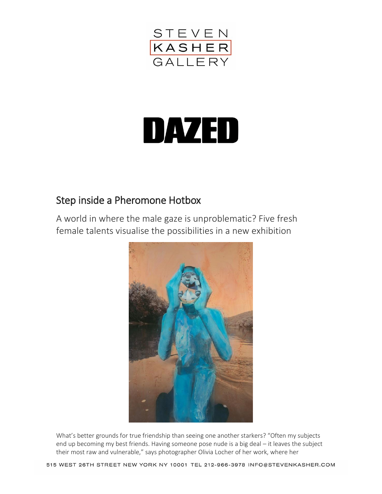

## DAZED

## Step inside a Pheromone Hotbox

A world in where the male gaze is unproblematic? Five fresh female talents visualise the possibilities in a new exhibition



What's better grounds for true friendship than seeing one another starkers? "Often my subjects end up becoming my best friends. Having someone pose nude is a big deal – it leaves the subject their most raw and vulnerable," says photographer Olivia Locher of her work, where her

515 WEST 26TH STREET NEW YORK NY 10001 TEL 212-966-3978 INFO@STEVENKASHER.COM